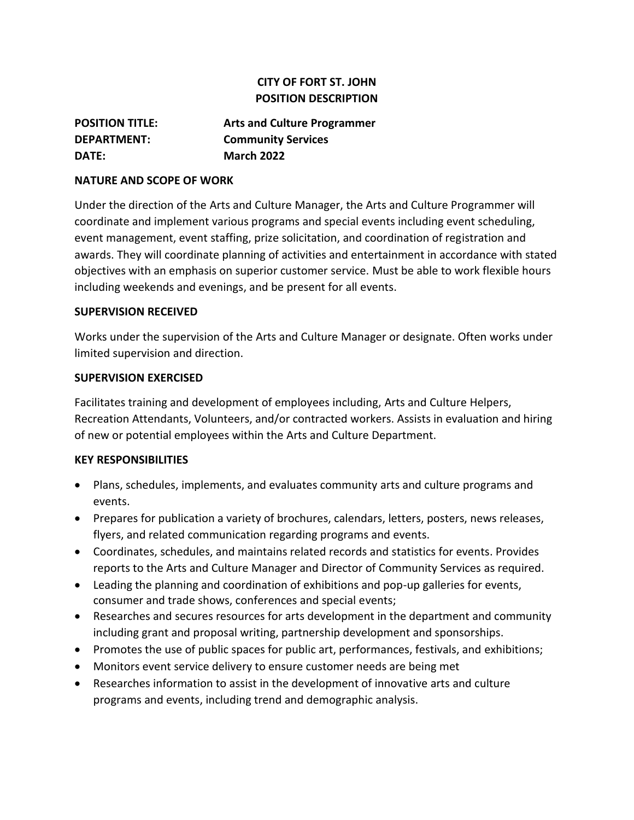# **CITY OF FORT ST. JOHN POSITION DESCRIPTION**

| <b>POSITION TITLE:</b> | <b>Arts and Culture Programmer</b> |
|------------------------|------------------------------------|
| <b>DEPARTMENT:</b>     | <b>Community Services</b>          |
| DATE:                  | <b>March 2022</b>                  |

### **NATURE AND SCOPE OF WORK**

Under the direction of the Arts and Culture Manager, the Arts and Culture Programmer will coordinate and implement various programs and special events including event scheduling, event management, event staffing, prize solicitation, and coordination of registration and awards. They will coordinate planning of activities and entertainment in accordance with stated objectives with an emphasis on superior customer service. Must be able to work flexible hours including weekends and evenings, and be present for all events.

### **SUPERVISION RECEIVED**

Works under the supervision of the Arts and Culture Manager or designate. Often works under limited supervision and direction.

### **SUPERVISION EXERCISED**

Facilitates training and development of employees including, Arts and Culture Helpers, Recreation Attendants, Volunteers, and/or contracted workers. Assists in evaluation and hiring of new or potential employees within the Arts and Culture Department.

### **KEY RESPONSIBILITIES**

- Plans, schedules, implements, and evaluates community arts and culture programs and events.
- Prepares for publication a variety of brochures, calendars, letters, posters, news releases, flyers, and related communication regarding programs and events.
- Coordinates, schedules, and maintains related records and statistics for events. Provides reports to the Arts and Culture Manager and Director of Community Services as required.
- Leading the planning and coordination of exhibitions and pop-up galleries for events, consumer and trade shows, conferences and special events;
- Researches and secures resources for arts development in the department and community including grant and proposal writing, partnership development and sponsorships.
- Promotes the use of public spaces for public art, performances, festivals, and exhibitions;
- Monitors event service delivery to ensure customer needs are being met
- Researches information to assist in the development of innovative arts and culture programs and events, including trend and demographic analysis.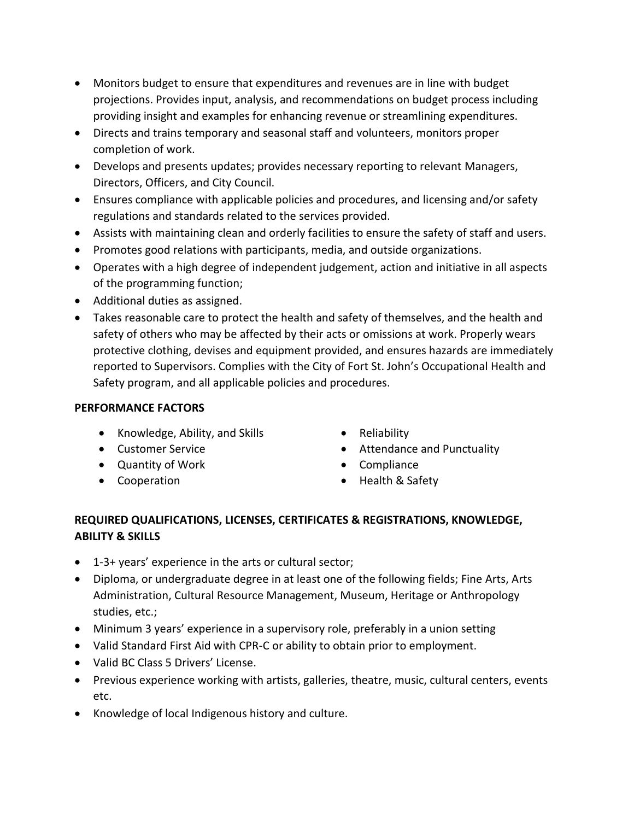- Monitors budget to ensure that expenditures and revenues are in line with budget projections. Provides input, analysis, and recommendations on budget process including providing insight and examples for enhancing revenue or streamlining expenditures.
- Directs and trains temporary and seasonal staff and volunteers, monitors proper completion of work.
- Develops and presents updates; provides necessary reporting to relevant Managers, Directors, Officers, and City Council.
- Ensures compliance with applicable policies and procedures, and licensing and/or safety regulations and standards related to the services provided.
- Assists with maintaining clean and orderly facilities to ensure the safety of staff and users.
- Promotes good relations with participants, media, and outside organizations.
- Operates with a high degree of independent judgement, action and initiative in all aspects of the programming function;
- Additional duties as assigned.
- Takes reasonable care to protect the health and safety of themselves, and the health and safety of others who may be affected by their acts or omissions at work. Properly wears protective clothing, devises and equipment provided, and ensures hazards are immediately reported to Supervisors. Complies with the City of Fort St. John's Occupational Health and Safety program, and all applicable policies and procedures.

### **PERFORMANCE FACTORS**

- Knowledge, Ability, and Skills Reliability
- 
- Quantity of Work Compliance
- 
- 
- Customer Service  **Customer Service Attendance and Punctuality** 
	-
- Cooperation Health & Safety

# **REQUIRED QUALIFICATIONS, LICENSES, CERTIFICATES & REGISTRATIONS, KNOWLEDGE, ABILITY & SKILLS**

- 1-3+ years' experience in the arts or cultural sector;
- Diploma, or undergraduate degree in at least one of the following fields; Fine Arts, Arts Administration, Cultural Resource Management, Museum, Heritage or Anthropology studies, etc.;
- Minimum 3 years' experience in a supervisory role, preferably in a union setting
- Valid Standard First Aid with CPR-C or ability to obtain prior to employment.
- Valid BC Class 5 Drivers' License.
- Previous experience working with artists, galleries, theatre, music, cultural centers, events etc.
- Knowledge of local Indigenous history and culture.